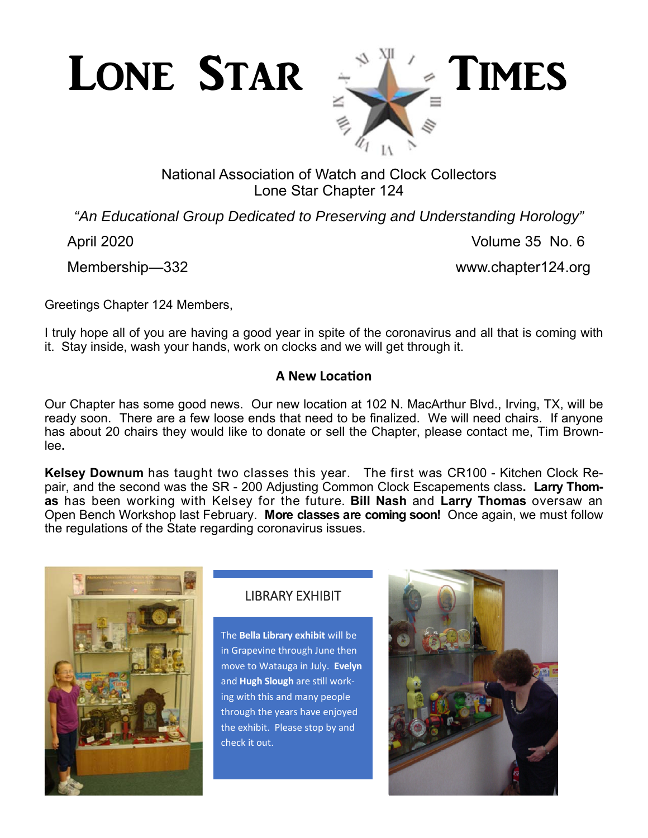



# National Association of Watch and Clock Collectors Lone Star Chapter 124

*"An Educational Group Dedicated to Preserving and Understanding Horology"* 

April 2020 Volume 35 No. 6

Membership—332 www.chapter124.org

Greetings Chapter 124 Members,

I truly hope all of you are having a good year in spite of the coronavirus and all that is coming with it. Stay inside, wash your hands, work on clocks and we will get through it.

## **A New LocaƟon**

Our Chapter has some good news. Our new location at 102 N. MacArthur Blvd., Irving, TX, will be ready soon. There are a few loose ends that need to be finalized. We will need chairs. If anyone has about 20 chairs they would like to donate or sell the Chapter, please contact me, Tim Brownlee**.** 

**Kelsey Downum** has taught two classes this year. The first was CR100 - Kitchen Clock Repair, and the second was the SR - 200 Adjusting Common Clock Escapements class**. Larry Thomas** has been working with Kelsey for the future. **Bill Nash** and **Larry Thomas** oversaw an Open Bench Workshop last February. **More classes are coming soon!** Once again, we must follow the regulations of the State regarding coronavirus issues.



# LIBRARY EXHIBIT

The **Bella Library exhibit** will be in Grapevine through June then move to Watauga in July. **Evelyn**  and **Hugh Slough** are sƟll working with this and many people through the years have enjoyed the exhibit. Please stop by and check it out.

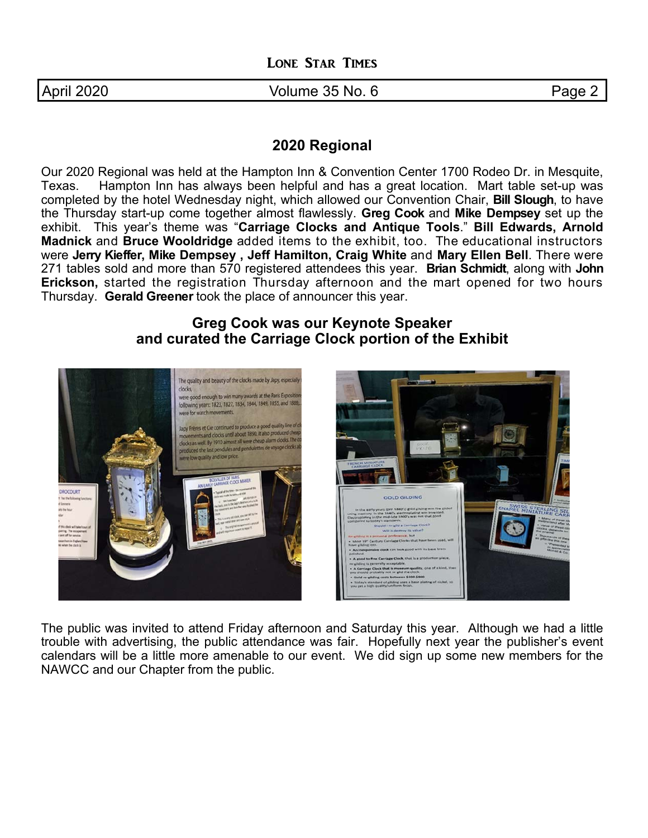April 2020 **Contract Contract Contract Contract Volume 35 No. 6** Page 2

### **2020 Regional**

Our 2020 Regional was held at the Hampton Inn & Convention Center 1700 Rodeo Dr. in Mesquite, Texas. Hampton Inn has always been helpful and has a great location. Mart table set-up was completed by the hotel Wednesday night, which allowed our Convention Chair, **Bill Slough**, to have the Thursday start-up come together almost flawlessly. **Greg Cook** and **Mike Dempsey** set up the exhibit. This year's theme was "**Carriage Clocks and Antique Tools**." **Bill Edwards, Arnold Madnick** and **Bruce Wooldridge** added items to the exhibit, too. The educational instructors were **Jerry Kieffer, Mike Dempsey , Jeff Hamilton, Craig White** and **Mary Ellen Bell**. There were 271 tables sold and more than 570 registered attendees this year. **Brian Schmidt**, along with **John Erickson,** started the registration Thursday afternoon and the mart opened for two hours Thursday. **Gerald Greener** took the place of announcer this year.

## **Greg Cook was our Keynote Speaker and curated the Carriage Clock portion of the Exhibit**



The public was invited to attend Friday afternoon and Saturday this year. Although we had a little trouble with advertising, the public attendance was fair. Hopefully next year the publisher's event calendars will be a little more amenable to our event. We did sign up some new members for the NAWCC and our Chapter from the public.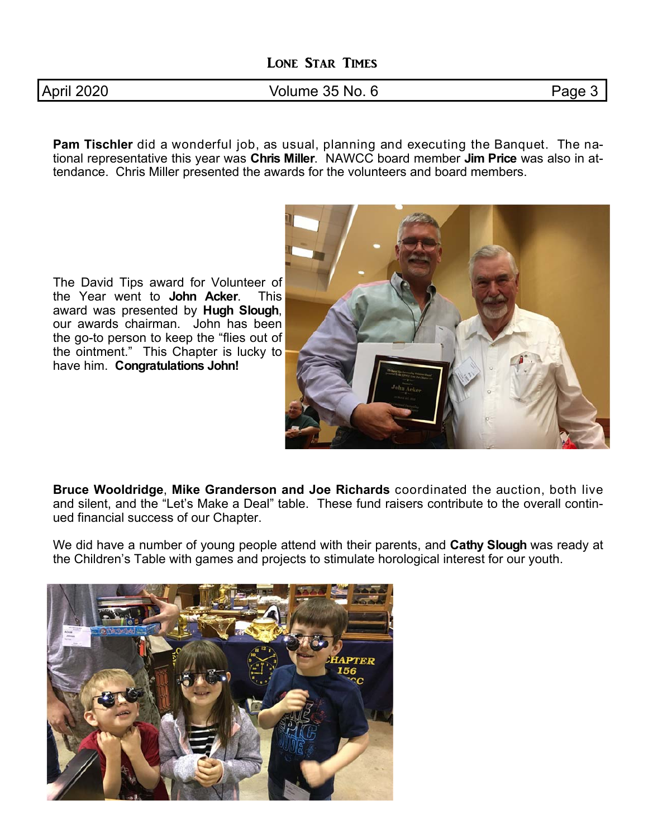|  | April 2020 |
|--|------------|
|  |            |

#### Volume 35 No. 6 **Page 3**

**Pam Tischler** did a wonderful job, as usual, planning and executing the Banquet. The national representative this year was **Chris Miller**. NAWCC board member **Jim Price** was also in attendance. Chris Miller presented the awards for the volunteers and board members.

The David Tips award for Volunteer of the Year went to **John Acker**. This award was presented by **Hugh Slough**, our awards chairman. John has been the go-to person to keep the "flies out of the ointment." This Chapter is lucky to have him. **Congratulations John!**



**Bruce Wooldridge**, **Mike Granderson and Joe Richards** coordinated the auction, both live and silent, and the "Let's Make a Deal" table. These fund raisers contribute to the overall continued financial success of our Chapter.

We did have a number of young people attend with their parents, and **Cathy Slough** was ready at the Children's Table with games and projects to stimulate horological interest for our youth.

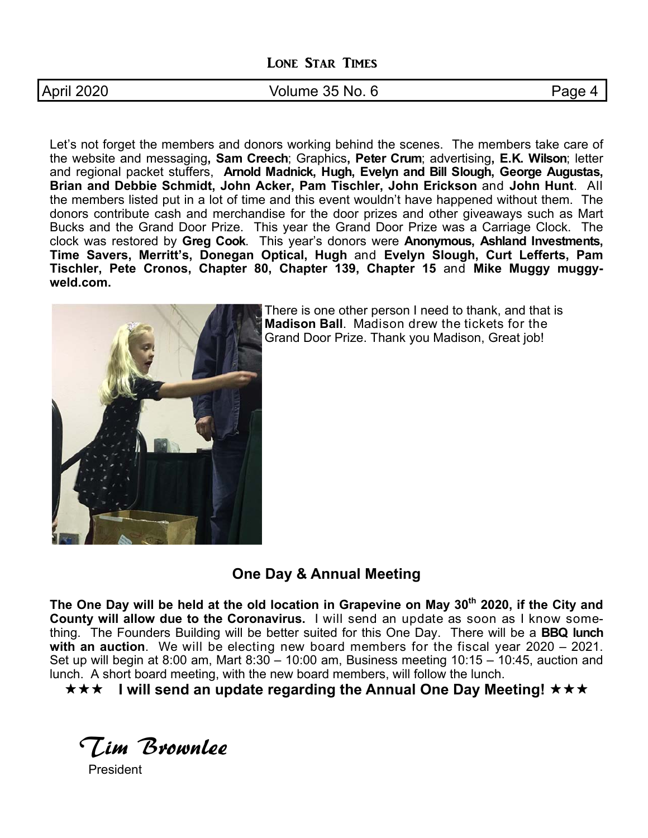April 2020 **Contract Contract Contract Contract Volume 35 No. 6** Page 4

Let's not forget the members and donors working behind the scenes. The members take care of the website and messaging**, Sam Creech**; Graphics**, Peter Crum**; advertising**, E.K. Wilson**; letter and regional packet stuffers, **Arnold Madnick, Hugh, Evelyn and Bill Slough, George Augustas, Brian and Debbie Schmidt, John Acker, Pam Tischler, John Erickson** and **John Hunt**. All the members listed put in a lot of time and this event wouldn't have happened without them. The donors contribute cash and merchandise for the door prizes and other giveaways such as Mart Bucks and the Grand Door Prize. This year the Grand Door Prize was a Carriage Clock. The clock was restored by **Greg Cook**. This year's donors were **Anonymous, Ashland Investments, Time Savers, Merritt's, Donegan Optical, Hugh** and **Evelyn Slough, Curt Lefferts, Pam Tischler, Pete Cronos, Chapter 80, Chapter 139, Chapter 15** and **Mike Muggy muggyweld.com.** 



There is one other person I need to thank, and that is **Madison Ball**. Madison drew the tickets for the Grand Door Prize. Thank you Madison, Great job!

**One Day & Annual Meeting** 

The One Day will be held at the old location in Grapevine on May 30<sup>th</sup> 2020, if the City and **County will allow due to the Coronavirus.** I will send an update as soon as I know something. The Founders Building will be better suited for this One Day. There will be a **BBQ lunch with an auction**. We will be electing new board members for the fiscal year 2020 – 2021. Set up will begin at 8:00 am, Mart 8:30 – 10:00 am, Business meeting 10:15 – 10:45, auction and lunch. A short board meeting, with the new board members, will follow the lunch.

**★★★ I will send an update regarding the Annual One Day Meeting! ★★★** 

Tim Brownlee

**President**